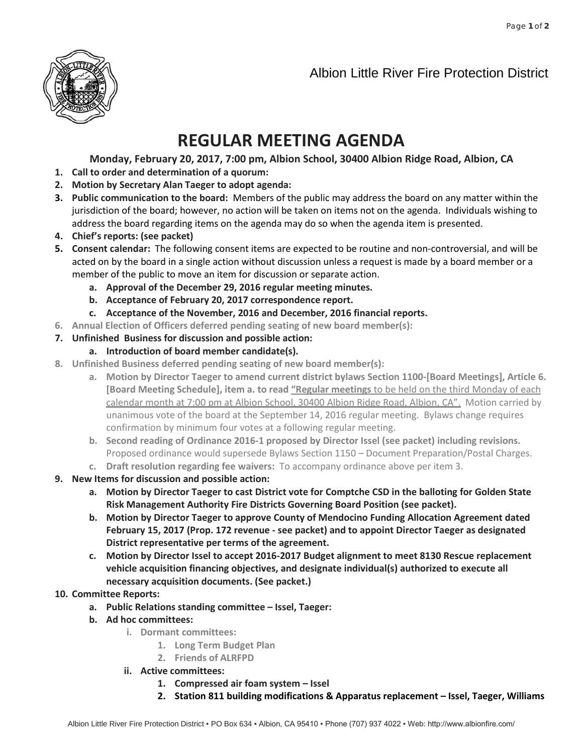



## **REGULAR MEETING AGENDA**

**Monday, February 20, 2017, 7:00 pm, Albion School, 30400 Albion Ridge Road, Albion, CA**

- **1. Call to order and determination of a quorum:**
- **2. Motion by Secretary Alan Taeger to adopt agenda:**
- **3. Public communication to the board:** Members of the public may address the board on any matter within the jurisdiction of the board; however, no action will be taken on items not on the agenda. Individuals wishing to address the board regarding items on the agenda may do so when the agenda item is presented.
- **4. Chief's reports: (see packet)**
- **5. Consent calendar:** The following consent items are expected to be routine and non-controversial, and will be acted on by the board in a single action without discussion unless a request is made by a board member or a member of the public to move an item for discussion or separate action.
	- **a. Approval of the December 29, 2016 regular meeting minutes.**
	- **b. Acceptance of February 20, 2017 correspondence report.**
	- **c. Acceptance of the November, 2016 and December, 2016 financial reports.**
- **6. Annual Election of Officers deferred pending seating of new board member(s):**
- **7. Unfinished Business for discussion and possible action:**
	- **a. Introduction of board member candidate(s).**
- **8. Unfinished Business deferred pending seating of new board member(s):**
	- **a. Motion by Director Taeger to amend current district bylaws Section 1100-[Board Meetings], Article 6. [Board Meeting Schedule], item a. to read "Regular meetings** to be held on the third Monday of each calendar month at 7:00 pm at Albion School, 30400 Albion Ridge Road, Albion, CA". Motion carried by unanimous vote of the board at the September 14, 2016 regular meeting. Bylaws change requires confirmation by minimum four votes at a following regular meeting.
	- **b. Second reading of Ordinance 2016-1 proposed by Director Issel (see packet) including revisions.** Proposed ordinance would supersede Bylaws Section 1150 – Document Preparation/Postal Charges.
	- **c. Draft resolution regarding fee waivers:** To accompany ordinance above per item 3.
- **9. New Items for discussion and possible action:**
	- **a. Motion by Director Taeger to cast District vote for Comptche CSD in the balloting for Golden State Risk Management Authority Fire Districts Governing Board Position (see packet).**
	- **b. Motion by Director Taeger to approve County of Mendocino Funding Allocation Agreement dated February 15, 2017 (Prop. 172 revenue - see packet) and to appoint Director Taeger as designated District representative per terms of the agreement.**
	- **c. Motion by Director Issel to accept 2016-2017 Budget alignment to meet 8130 Rescue replacement vehicle acquisition financing objectives, and designate individual(s) authorized to execute all necessary acquisition documents. (See packet.)**

## **10. Committee Reports:**

- **a. Public Relations standing committee – Issel, Taeger:**
- **b. Ad hoc committees:**
	- **i. Dormant committees:**
		- **1. Long Term Budget Plan**
		- **2. Friends of ALRFPD**
	- **ii. Active committees:**
		- **1. Compressed air foam system – Issel**
		- **2. Station 811 building modifications & Apparatus replacement – Issel, Taeger, Williams**